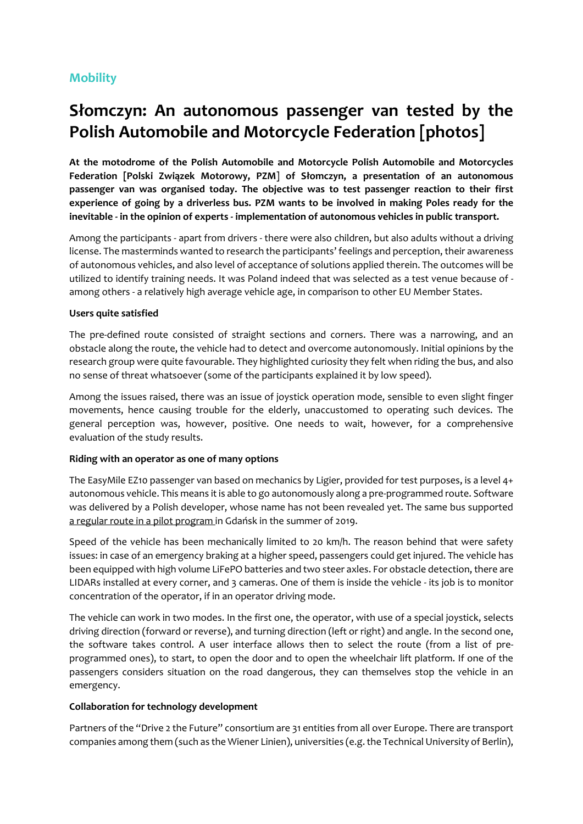# **Mobility**

# **Słomczyn: An autonomous passenger van tested by the Polish Automobile and Motorcycle Federation [photos]**

**At the motodrome of the Polish Automobile and Motorcycle Polish Automobile and Motorcycles Federation [Polski Związek Motorowy, PZM**] **of Słomczyn, a presentation of an autonomous passenger van was organised today. The objective was to test passenger reaction to their first experience of going by a driverless bus. PZM wants to be involved in making Poles ready for the inevitable - in the opinion of experts - implementation of autonomous vehicles in public transport.**

Among the participants - apart from drivers - there were also children, but also adults without a driving license. The masterminds wanted to research the participants' feelings and perception, their awareness of autonomous vehicles, and also level of acceptance of solutions applied therein. The outcomes will be utilized to identify training needs. It was Poland indeed that was selected as a test venue because of among others - a relatively high average vehicle age, in comparison to other EU Member States.

## **Users quite satisfied**

The pre-defined route consisted of straight sections and corners. There was a narrowing, and an obstacle along the route, the vehicle had to detect and overcome autonomously. Initial opinions by the research group were quite favourable. They highlighted curiosity they felt when riding the bus, and also no sense of threat whatsoever (some of the participants explained it by low speed).

Among the issues raised, there was an issue of joystick operation mode, sensible to even slight finger movements, hence causing trouble for the elderly, unaccustomed to operating such devices. The general perception was, however, positive. One needs to wait, however, for a comprehensive evaluation of the study results.

### **Riding with an operator as one of many options**

The EasyMile EZ10 passenger van based on mechanics by Ligier, provided for test purposes, is a level 4+ autonomous vehicle. This means it is able to go autonomously along a pre-programmed route. Software was delivered by a Polish developer, whose name has not been revealed yet. The same bus supported a regular route in a pilot program in Gdańsk in the summer of 2019.

Speed of the vehicle has been mechanically limited to 20 km/h. The reason behind that were safety issues: in case of an emergency braking at a higher speed, passengers could get injured. The vehicle has been equipped with high volume LiFePO batteries and two steer axles. For obstacle detection, there are LIDARs installed at every corner, and 3 cameras. One of them is inside the vehicle - its job is to monitor concentration of the operator, if in an operator driving mode.

The vehicle can work in two modes. In the first one, the operator, with use of a special joystick, selects driving direction (forward or reverse), and turning direction (left or right) and angle. In the second one, the software takes control. A user interface allows then to select the route (from a list of preprogrammed ones), to start, to open the door and to open the wheelchair lift platform. If one of the passengers considers situation on the road dangerous, they can themselves stop the vehicle in an emergency.

### **Collaboration for technology development**

Partners of the "Drive 2 the Future" consortium are 31 entities from all over Europe. There are transport companies among them (such as the Wiener Linien), universities (e.g. the Technical University of Berlin),